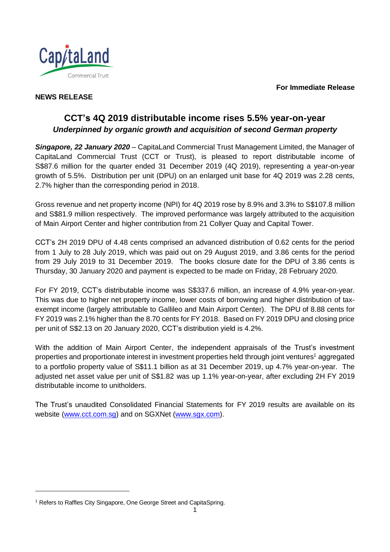**For Immediate Release**



# **NEWS RELEASE**

# **CCT's 4Q 2019 distributable income rises 5.5% year-on-year** *Underpinned by organic growth and acquisition of second German property*

*Singapore, 22 January 2020* – CapitaLand Commercial Trust Management Limited, the Manager of CapitaLand Commercial Trust (CCT or Trust), is pleased to report distributable income of S\$87.6 million for the quarter ended 31 December 2019 (4Q 2019), representing a year-on-year growth of 5.5%. Distribution per unit (DPU) on an enlarged unit base for 4Q 2019 was 2.28 cents, 2.7% higher than the corresponding period in 2018.

Gross revenue and net property income (NPI) for 4Q 2019 rose by 8.9% and 3.3% to S\$107.8 million and S\$81.9 million respectively. The improved performance was largely attributed to the acquisition of Main Airport Center and higher contribution from 21 Collyer Quay and Capital Tower.

CCT's 2H 2019 DPU of 4.48 cents comprised an advanced distribution of 0.62 cents for the period from 1 July to 28 July 2019, which was paid out on 29 August 2019, and 3.86 cents for the period from 29 July 2019 to 31 December 2019. The books closure date for the DPU of 3.86 cents is Thursday, 30 January 2020 and payment is expected to be made on Friday, 28 February 2020.

For FY 2019, CCT's distributable income was S\$337.6 million, an increase of 4.9% year-on-year. This was due to higher net property income, lower costs of borrowing and higher distribution of taxexempt income (largely attributable to Gallileo and Main Airport Center). The DPU of 8.88 cents for FY 2019 was 2.1% higher than the 8.70 cents for FY 2018. Based on FY 2019 DPU and closing price per unit of S\$2.13 on 20 January 2020, CCT's distribution yield is 4.2%.

With the addition of Main Airport Center, the independent appraisals of the Trust's investment properties and proportionate interest in investment properties held through joint ventures<sup>1</sup> aggregated to a portfolio property value of S\$11.1 billion as at 31 December 2019, up 4.7% year-on-year. The adjusted net asset value per unit of S\$1.82 was up 1.1% year-on-year, after excluding 2H FY 2019 distributable income to unitholders.

The Trust's unaudited Consolidated Financial Statements for FY 2019 results are available on its website [\(www.cct.com.sg\)](http://www.cct.com.sg/) and on SGXNet [\(www.sgx.com\)](http://www.sgx.com/).

l

<sup>&</sup>lt;sup>1</sup> Refers to Raffles City Singapore, One George Street and CapitaSpring.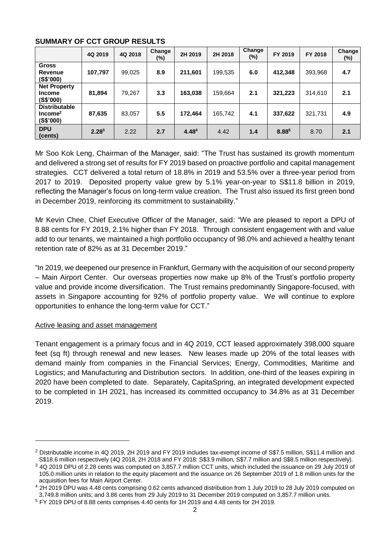|                                                          | 4Q 2019           | 4Q 2018 | Change<br>$(\%)$ | 2H 2019           | 2H 2018 | Change<br>$(\%)$ | FY 2019 | FY 2018 | Change<br>$(\%)$ |
|----------------------------------------------------------|-------------------|---------|------------------|-------------------|---------|------------------|---------|---------|------------------|
| <b>Gross</b><br>Revenue<br>(S\$'000)                     | 107,797           | 99,025  | 8.9              | 211,601           | 199,535 | 6.0              | 412,348 | 393,968 | 4.7              |
| <b>Net Property</b><br><b>Income</b><br>(S\$'000)        | 81,894            | 79,267  | 3.3              | 163,038           | 159,664 | 2.1              | 321,223 | 314,610 | 2.1              |
| <b>Distributable</b><br>Income <sup>2</sup><br>(S\$'000) | 87,635            | 83,057  | 5.5              | 172.464           | 165,742 | 4.1              | 337,622 | 321,731 | 4.9              |
| <b>DPU</b><br>(cents)                                    | 2.28 <sup>3</sup> | 2.22    | 2.7              | 4.48 <sup>4</sup> | 4.42    | 1.4              | 8.885   | 8.70    | 2.1              |

# **SUMMARY OF CCT GROUP RESULTS**

Mr Soo Kok Leng, Chairman of the Manager, said: "The Trust has sustained its growth momentum and delivered a strong set of results for FY 2019 based on proactive portfolio and capital management strategies. CCT delivered a total return of 18.8% in 2019 and 53.5% over a three-year period from 2017 to 2019. Deposited property value grew by 5.1% year-on-year to S\$11.8 billion in 2019, reflecting the Manager's focus on long-term value creation. The Trust also issued its first green bond in December 2019, reinforcing its commitment to sustainability."

Mr Kevin Chee, Chief Executive Officer of the Manager, said: "We are pleased to report a DPU of 8.88 cents for FY 2019, 2.1% higher than FY 2018. Through consistent engagement with and value add to our tenants, we maintained a high portfolio occupancy of 98.0% and achieved a healthy tenant retention rate of 82% as at 31 December 2019."

"In 2019, we deepened our presence in Frankfurt, Germany with the acquisition of our second property – Main Airport Center. Our overseas properties now make up 8% of the Trust's portfolio property value and provide income diversification. The Trust remains predominantly Singapore-focused, with assets in Singapore accounting for 92% of portfolio property value. We will continue to explore opportunities to enhance the long-term value for CCT."

# Active leasing and asset management

l

Tenant engagement is a primary focus and in 4Q 2019, CCT leased approximately 398,000 square feet (sq ft) through renewal and new leases. New leases made up 20% of the total leases with demand mainly from companies in the Financial Services; Energy, Commodities, Maritime and Logistics; and Manufacturing and Distribution sectors. In addition, one-third of the leases expiring in 2020 have been completed to date. Separately, CapitaSpring, an integrated development expected to be completed in 1H 2021, has increased its committed occupancy to 34.8% as at 31 December 2019.

<sup>&</sup>lt;sup>2</sup> Distributable income in 4Q 2019, 2H 2019 and FY 2019 includes tax-exempt income of S\$7.5 million, S\$11.4 million and S\$18.6 million respectively (4Q 2018, 2H 2018 and FY 2018: S\$3.9 million, S\$7.7 million and S\$8.5 million respectively).

<sup>3</sup> 4Q 2019 DPU of 2.28 cents was computed on 3,857.7 million CCT units, which included the issuance on 29 July 2019 of 105.0 million units in relation to the equity placement and the issuance on 26 September 2019 of 1.8 million units for the acquisition fees for Main Airport Center.

<sup>&</sup>lt;sup>4</sup> 2H 2019 DPU was 4.48 cents comprising 0.62 cents advanced distribution from 1 July 2019 to 28 July 2019 computed on 3,749.8 million units; and 3.86 cents from 29 July 2019 to 31 December 2019 computed on 3,857.7 million units.

<sup>5</sup> FY 2019 DPU of 8.88 cents comprises 4.40 cents for 1H 2019 and 4.48 cents for 2H 2019.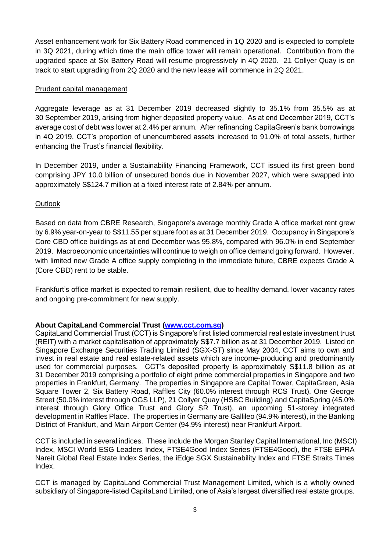Asset enhancement work for Six Battery Road commenced in 1Q 2020 and is expected to complete in 3Q 2021, during which time the main office tower will remain operational. Contribution from the upgraded space at Six Battery Road will resume progressively in 4Q 2020. 21 Collyer Quay is on track to start upgrading from 2Q 2020 and the new lease will commence in 2Q 2021.

# Prudent capital management

Aggregate leverage as at 31 December 2019 decreased slightly to 35.1% from 35.5% as at 30 September 2019, arising from higher deposited property value. As at end December 2019, CCT's average cost of debt was lower at 2.4% per annum. After refinancing CapitaGreen's bank borrowings in 4Q 2019, CCT's proportion of unencumbered assets increased to 91.0% of total assets, further enhancing the Trust's financial flexibility.

In December 2019, under a Sustainability Financing Framework, CCT issued its first green bond comprising JPY 10.0 billion of unsecured bonds due in November 2027, which were swapped into approximately S\$124.7 million at a fixed interest rate of 2.84% per annum.

# **Outlook**

Based on data from CBRE Research, Singapore's average monthly Grade A office market rent grew by 6.9% year-on-year to S\$11.55 per square foot as at 31 December 2019. Occupancy in Singapore's Core CBD office buildings as at end December was 95.8%, compared with 96.0% in end September 2019. Macroeconomic uncertainties will continue to weigh on office demand going forward. However, with limited new Grade A office supply completing in the immediate future, CBRE expects Grade A (Core CBD) rent to be stable.

Frankfurt's office market is expected to remain resilient, due to healthy demand, lower vacancy rates and ongoing pre-commitment for new supply.

# **About CapitaLand Commercial Trust [\(www.cct.com.sg\)](file:///D:/Users/homeipeng/AppData/Local/Microsoft/Windows/Temporary%20Internet%20Files/Content.Outlook/P5NL80E6/www.cct.com.sg)**

CapitaLand Commercial Trust (CCT) is Singapore's first listed commercial real estate investment trust (REIT) with a market capitalisation of approximately S\$7.7 billion as at 31 December 2019. Listed on Singapore Exchange Securities Trading Limited (SGX-ST) since May 2004, CCT aims to own and invest in real estate and real estate-related assets which are income-producing and predominantly used for commercial purposes. CCT's deposited property is approximately S\$11.8 billion as at 31 December 2019 comprising a portfolio of eight prime commercial properties in Singapore and two properties in Frankfurt, Germany. The properties in Singapore are Capital Tower, CapitaGreen, Asia Square Tower 2, Six Battery Road, Raffles City (60.0% interest through RCS Trust), One George Street (50.0% interest through OGS LLP), 21 Collyer Quay (HSBC Building) and CapitaSpring (45.0% interest through Glory Office Trust and Glory SR Trust), an upcoming 51-storey integrated development in Raffles Place. The properties in Germany are Gallileo (94.9% interest), in the Banking District of Frankfurt, and Main Airport Center (94.9% interest) near Frankfurt Airport.

CCT is included in several indices. These include the Morgan Stanley Capital International, Inc (MSCI) Index, MSCI World ESG Leaders Index, FTSE4Good Index Series (FTSE4Good), the FTSE EPRA Nareit Global Real Estate Index Series, the iEdge SGX Sustainability Index and FTSE Straits Times Index.

CCT is managed by CapitaLand Commercial Trust Management Limited, which is a wholly owned subsidiary of Singapore-listed CapitaLand Limited, one of Asia's largest diversified real estate groups.